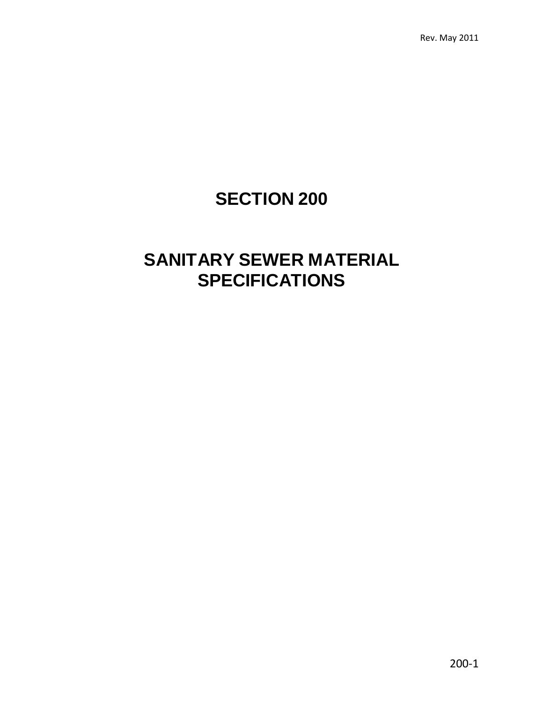# **SECTION 200**

## **SANITARY SEWER MATERIAL SPECIFICATIONS**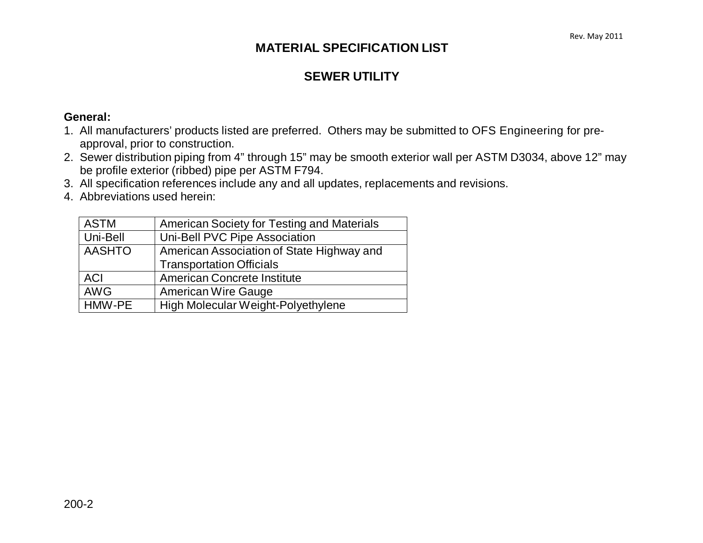### **MATERIAL SPECIFICATION LIST**

### **SEWER UTILITY**

#### **General:**

- 1. All manufacturers' products listed are preferred. Others may be submitted to OFS Engineering for preapproval, prior to construction.
- 2. Sewer distribution piping from 4" through 15" may be smooth exterior wall per ASTM D3034, above 12" may be profile exterior (ribbed) pipe per ASTM F794.
- 3. All specification references include any and all updates, replacements and revisions.
- 4. Abbreviations used herein:

| <b>ASTM</b>   | American Society for Testing and Materials |  |  |
|---------------|--------------------------------------------|--|--|
| Uni-Bell      | Uni-Bell PVC Pipe Association              |  |  |
| <b>AASHTO</b> | American Association of State Highway and  |  |  |
|               | <b>Transportation Officials</b>            |  |  |
| <b>ACI</b>    | <b>American Concrete Institute</b>         |  |  |
| <b>AWG</b>    | <b>American Wire Gauge</b>                 |  |  |
| HMW-PE        | High Molecular Weight-Polyethylene         |  |  |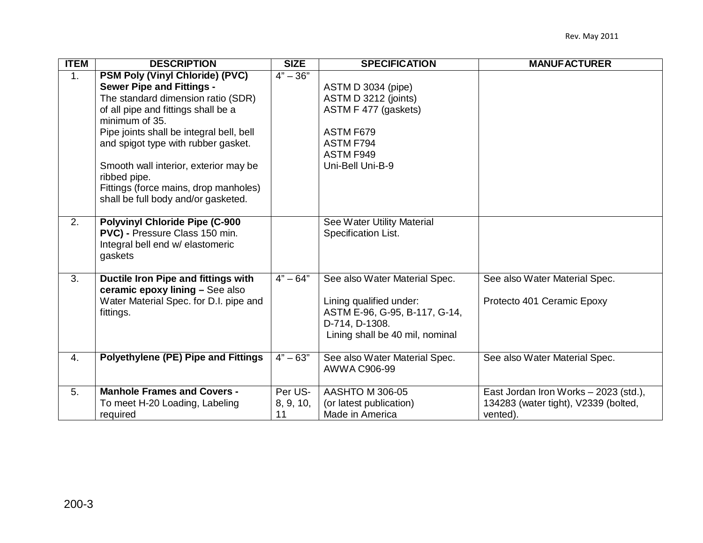| <b>TTEM</b>      | <b>DESCRIPTION</b>                                                                                                                                                                                                                                                                                                                                                                                    | <b>SIZE</b>                | <b>SPECIFICATION</b>                                                                                                                           | <b>MANUFACTURER</b>                                                                       |
|------------------|-------------------------------------------------------------------------------------------------------------------------------------------------------------------------------------------------------------------------------------------------------------------------------------------------------------------------------------------------------------------------------------------------------|----------------------------|------------------------------------------------------------------------------------------------------------------------------------------------|-------------------------------------------------------------------------------------------|
| $\overline{1}$ . | <b>PSM Poly (Vinyl Chloride) (PVC)</b><br><b>Sewer Pipe and Fittings -</b><br>The standard dimension ratio (SDR)<br>of all pipe and fittings shall be a<br>minimum of 35.<br>Pipe joints shall be integral bell, bell<br>and spigot type with rubber gasket.<br>Smooth wall interior, exterior may be<br>ribbed pipe.<br>Fittings (force mains, drop manholes)<br>shall be full body and/or gasketed. | $4" - 36"$                 | ASTM D 3034 (pipe)<br>ASTM D 3212 (joints)<br>ASTM F 477 (gaskets)<br>ASTM F679<br>ASTM F794<br>ASTM F949<br>Uni-Bell Uni-B-9                  |                                                                                           |
| 2.               | <b>Polyvinyl Chloride Pipe (C-900</b><br>PVC) - Pressure Class 150 min.<br>Integral bell end w/ elastomeric<br>gaskets                                                                                                                                                                                                                                                                                |                            | See Water Utility Material<br>Specification List.                                                                                              |                                                                                           |
| 3.               | Ductile Iron Pipe and fittings with<br>ceramic epoxy lining - See also<br>Water Material Spec. for D.I. pipe and<br>fittings.                                                                                                                                                                                                                                                                         | $4" - 64"$                 | See also Water Material Spec.<br>Lining qualified under:<br>ASTM E-96, G-95, B-117, G-14,<br>D-714, D-1308.<br>Lining shall be 40 mil, nominal | See also Water Material Spec.<br>Protecto 401 Ceramic Epoxy                               |
| 4.               | <b>Polyethylene (PE) Pipe and Fittings</b>                                                                                                                                                                                                                                                                                                                                                            | $4" - 63"$                 | See also Water Material Spec.<br>AWWA C906-99                                                                                                  | See also Water Material Spec.                                                             |
| 5.               | <b>Manhole Frames and Covers -</b><br>To meet H-20 Loading, Labeling<br>required                                                                                                                                                                                                                                                                                                                      | Per US-<br>8, 9, 10,<br>11 | AASHTO M 306-05<br>(or latest publication)<br>Made in America                                                                                  | East Jordan Iron Works - 2023 (std.),<br>134283 (water tight), V2339 (bolted,<br>vented). |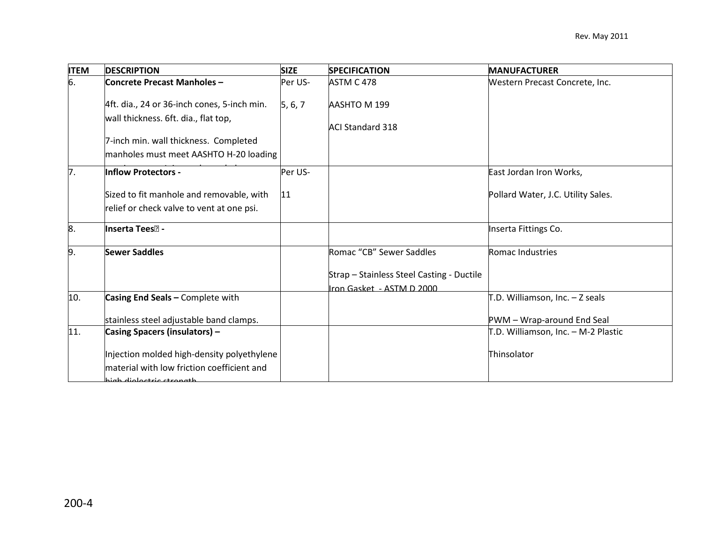| <b>ITEM</b>      | <b>DESCRIPTION</b>                          | <b>SIZE</b>  | <b>SPECIFICATION</b>                      | <b>MANUFACTURER</b>                                  |
|------------------|---------------------------------------------|--------------|-------------------------------------------|------------------------------------------------------|
| 6.               | <b>Concrete Precast Manholes -</b>          | Per US-      | ASTM C 478                                | Western Precast Concrete, Inc.                       |
|                  | 4ft. dia., 24 or 36-inch cones, 5-inch min. | 5, 6, 7      | AASHTO M 199                              |                                                      |
|                  | wall thickness. 6ft. dia., flat top,        |              | <b>ACI Standard 318</b>                   |                                                      |
|                  | 7-inch min. wall thickness. Completed       |              |                                           |                                                      |
|                  | manholes must meet AASHTO H-20 loading      |              |                                           |                                                      |
| $\overline{7}$ . | Inflow Protectors -                         | Per US-      |                                           | East Jordan Iron Works,                              |
|                  | Sized to fit manhole and removable, with    | $ 11\rangle$ |                                           | Pollard Water, J.C. Utility Sales.                   |
|                  | relief or check valve to vent at one psi.   |              |                                           |                                                      |
| 8.               | <b>Inserta Tees</b> ? -                     |              |                                           | Inserta Fittings Co.                                 |
| 9.               | <b>Sewer Saddles</b>                        |              | Romac "CB" Sewer Saddles                  | Romac Industries                                     |
|                  |                                             |              | Strap - Stainless Steel Casting - Ductile |                                                      |
|                  |                                             |              | ron Gasket - ASTM D 2000                  |                                                      |
| 10.              | Casing End Seals - Complete with            |              |                                           | $\mathsf{T}.\mathsf{D}$ . Williamson, Inc. - Z seals |
|                  | stainless steel adjustable band clamps.     |              |                                           | PWM - Wrap-around End Seal                           |
| 11.              | <b>Casing Spacers (insulators) -</b>        |              |                                           | T.D. Williamson, Inc. - M-2 Plastic                  |
|                  | Injection molded high-density polyethylene  |              |                                           | Thinsolator                                          |
|                  | material with low friction coefficient and  |              |                                           |                                                      |
|                  | high dioloctric ctrongth                    |              |                                           |                                                      |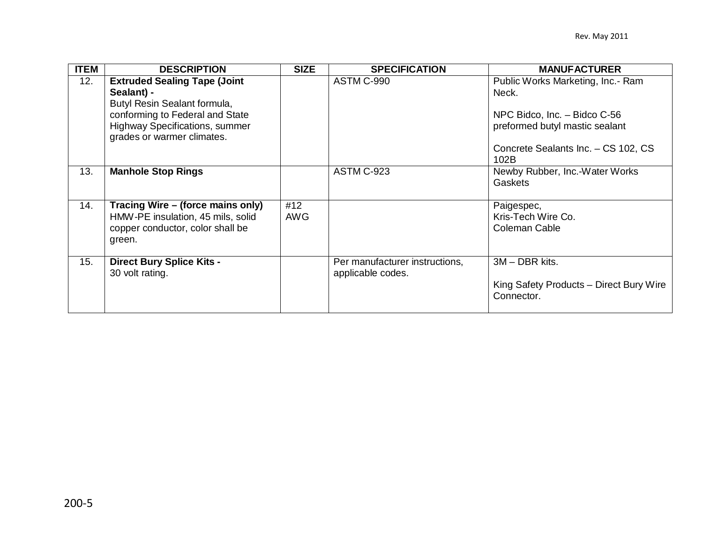| <b>ITEM</b> | <b>DESCRIPTION</b>                                                                                                                                                                          | <b>SIZE</b>       | <b>SPECIFICATION</b>                                | <b>MANUFACTURER</b>                                                                                                                                         |
|-------------|---------------------------------------------------------------------------------------------------------------------------------------------------------------------------------------------|-------------------|-----------------------------------------------------|-------------------------------------------------------------------------------------------------------------------------------------------------------------|
| 12.         | <b>Extruded Sealing Tape (Joint</b><br>Sealant) -<br>Butyl Resin Sealant formula,<br>conforming to Federal and State<br><b>Highway Specifications, summer</b><br>grades or warmer climates. |                   | ASTM C-990                                          | Public Works Marketing, Inc.- Ram<br>Neck.<br>NPC Bidco, Inc. - Bidco C-56<br>preformed butyl mastic sealant<br>Concrete Sealants Inc. - CS 102, CS<br>102B |
| 13.         | <b>Manhole Stop Rings</b>                                                                                                                                                                   |                   | ASTM C-923                                          | Newby Rubber, Inc.-Water Works<br>Gaskets                                                                                                                   |
| 14.         | Tracing Wire – (force mains only)<br>HMW-PE insulation, 45 mils, solid<br>copper conductor, color shall be<br>green.                                                                        | #12<br><b>AWG</b> |                                                     | Paigespec,<br>Kris-Tech Wire Co.<br>Coleman Cable                                                                                                           |
| 15.         | <b>Direct Bury Splice Kits -</b><br>30 volt rating.                                                                                                                                         |                   | Per manufacturer instructions,<br>applicable codes. | 3M - DBR kits.<br>King Safety Products - Direct Bury Wire<br>Connector.                                                                                     |